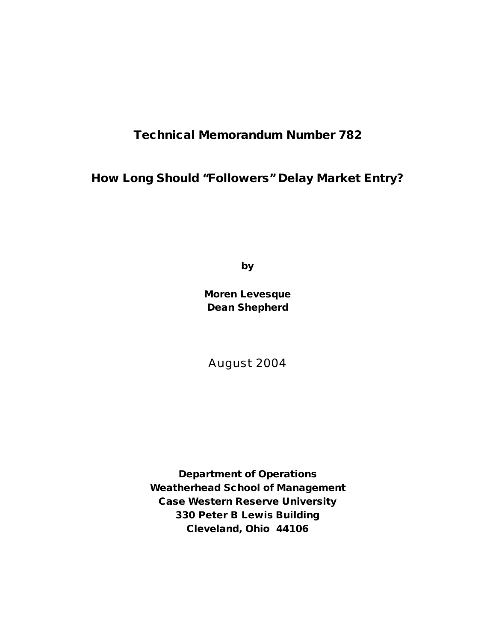# **Technical Memorandum Number 782**

**How Long Should "Followers" Delay Market Entry?**

**by**

**Moren Levesque Dean Shepherd**

August 2004

**Department of Operations Weatherhead School of Management Case Western Reserve University 330 Peter B Lewis Building Cleveland, Ohio 44106**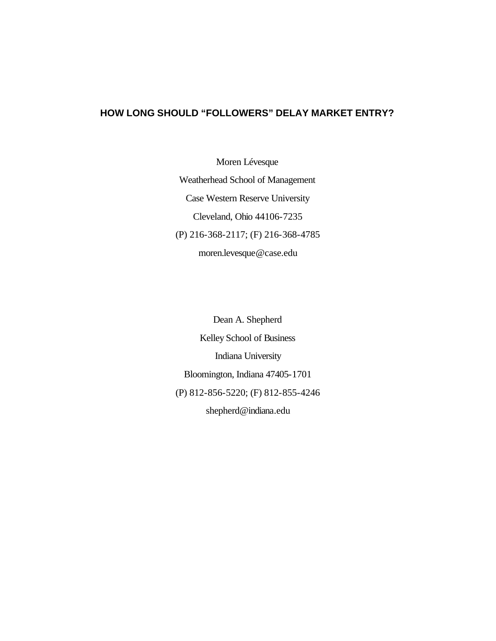# **HOW LONG SHOULD "FOLLOWERS" DELAY MARKET ENTRY?**

Moren Lévesque Weatherhead School of Management Case Western Reserve University Cleveland, Ohio 44106-7235 (P) 216-368-2117; (F) 216-368-4785 moren.levesque@case.edu

Dean A. Shepherd Kelley School of Business Indiana University Bloomington, Indiana 47405-1701 (P) 812-856-5220; (F) 812-855-4246 shepherd@indiana.edu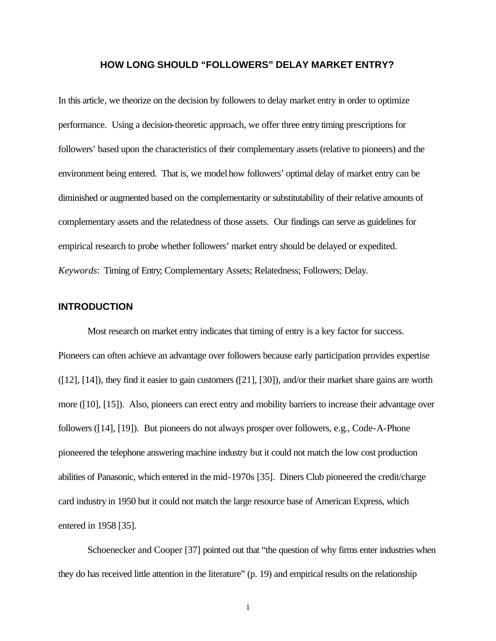# **HOW LONG SHOULD "FOLLOWERS" DELAY MARKET ENTRY?**

In this article, we theorize on the decision by followers to delay market entry in order to optimize performance. Using a decision-theoretic approach, we offer three entry timing prescriptions for followers' based upon the characteristics of their complementary assets (relative to pioneers) and the environment being entered. That is, we model how followers' optimal delay of market entry can be diminished or augmented based on the complementarity or substitutability of their relative amounts of complementary assets and the relatedness of those assets. Our findings can serve as guidelines for empirical research to probe whether followers' market entry should be delayed or expedited. *Keywords*: Timing of Entry; Complementary Assets; Relatedness; Followers; Delay.

# **INTRODUCTION**

Most research on market entry indicates that timing of entry is a key factor for success. Pioneers can often achieve an advantage over followers because early participation provides expertise ([12], [14]), they find it easier to gain customers ([21], [30]), and/or their market share gains are worth more ([10], [15]). Also, pioneers can erect entry and mobility barriers to increase their advantage over followers ([14], [19]). But pioneers do not always prosper over followers, e.g., Code-A-Phone pioneered the telephone answering machine industry but it could not match the low cost production abilities of Panasonic, which entered in the mid-1970s [35]. Diners Club pioneered the credit/charge card industry in 1950 but it could not match the large resource base of American Express, which entered in 1958 [35].

Schoenecker and Cooper [37] pointed out that "the question of why firms enter industries when they do has received little attention in the literature" (p. 19) and empirical results on the relationship

1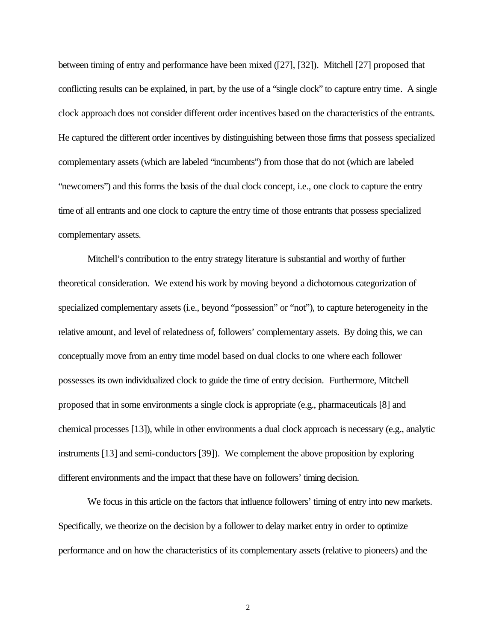between timing of entry and performance have been mixed ([27], [32]). Mitchell [27] proposed that conflicting results can be explained, in part, by the use of a "single clock" to capture entry time. A single clock approach does not consider different order incentives based on the characteristics of the entrants. He captured the different order incentives by distinguishing between those firms that possess specialized complementary assets (which are labeled "incumbents") from those that do not (which are labeled "newcomers") and this forms the basis of the dual clock concept, i.e., one clock to capture the entry time of all entrants and one clock to capture the entry time of those entrants that possess specialized complementary assets.

Mitchell's contribution to the entry strategy literature is substantial and worthy of further theoretical consideration. We extend his work by moving beyond a dichotomous categorization of specialized complementary assets (i.e., beyond "possession" or "not"), to capture heterogeneity in the relative amount, and level of relatedness of, followers' complementary assets. By doing this, we can conceptually move from an entry time model based on dual clocks to one where each follower possesses its own individualized clock to guide the time of entry decision. Furthermore, Mitchell proposed that in some environments a single clock is appropriate (e.g., pharmaceuticals [8] and chemical processes [13]), while in other environments a dual clock approach is necessary (e.g., analytic instruments [13] and semi-conductors [39]). We complement the above proposition by exploring different environments and the impact that these have on followers' timing decision.

We focus in this article on the factors that influence followers' timing of entry into new markets. Specifically, we theorize on the decision by a follower to delay market entry in order to optimize performance and on how the characteristics of its complementary assets (relative to pioneers) and the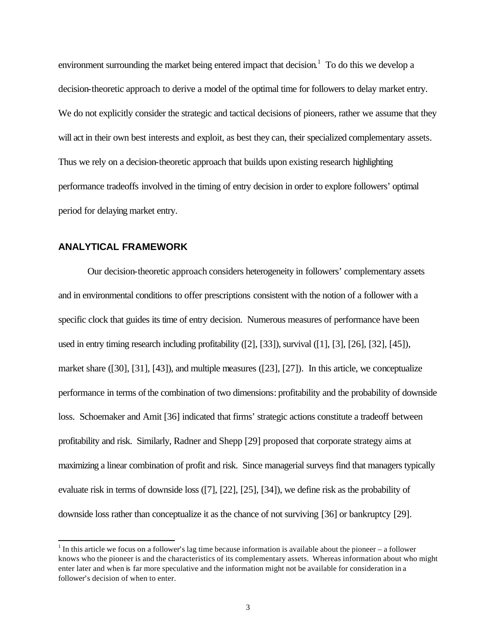environment surrounding the market being entered impact that decision.<sup>1</sup> To do this we develop a decision-theoretic approach to derive a model of the optimal time for followers to delay market entry. We do not explicitly consider the strategic and tactical decisions of pioneers, rather we assume that they will act in their own best interests and exploit, as best they can, their specialized complementary assets. Thus we rely on a decision-theoretic approach that builds upon existing research highlighting performance tradeoffs involved in the timing of entry decision in order to explore followers' optimal period for delaying market entry.

# **ANALYTICAL FRAMEWORK**

l

Our decision-theoretic approach considers heterogeneity in followers' complementary assets and in environmental conditions to offer prescriptions consistent with the notion of a follower with a specific clock that guides its time of entry decision. Numerous measures of performance have been used in entry timing research including profitability ([2], [33]), survival ([1], [3], [26], [32], [45]), market share ([30], [31], [43]), and multiple measures ([23], [27]). In this article, we conceptualize performance in terms of the combination of two dimensions: profitability and the probability of downside loss. Schoemaker and Amit [36] indicated that firms' strategic actions constitute a tradeoff between profitability and risk. Similarly, Radner and Shepp [29] proposed that corporate strategy aims at maximizing a linear combination of profit and risk. Since managerial surveys find that managers typically evaluate risk in terms of downside loss ([7], [22], [25], [34]), we define risk as the probability of downside loss rather than conceptualize it as the chance of not surviving [36] or bankruptcy [29].

 $1$  In this article we focus on a follower's lag time because information is available about the pioneer – a follower knows who the pioneer is and the characteristics of its complementary assets. Whereas information about who might enter later and when is far more speculative and the information might not be available for consideration in a follower's decision of when to enter.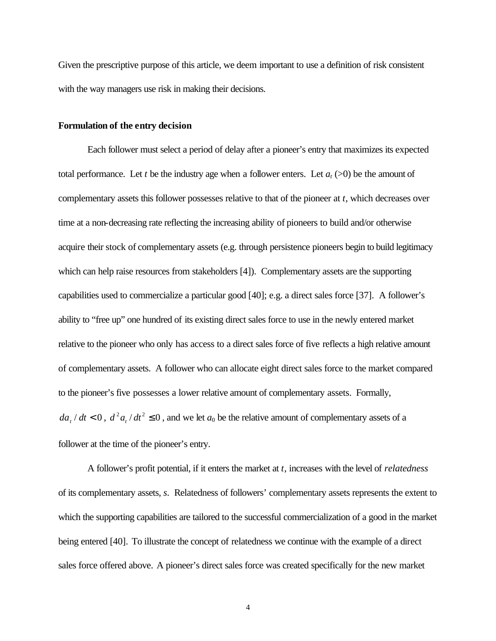Given the prescriptive purpose of this article, we deem important to use a definition of risk consistent with the way managers use risk in making their decisions.

## **Formulation of the entry decision**

Each follower must select a period of delay after a pioneer's entry that maximizes its expected total performance. Let *t* be the industry age when a follower enters. Let  $a_t$  (>0) be the amount of complementary assets this follower possesses relative to that of the pioneer at *t*, which decreases over time at a non-decreasing rate reflecting the increasing ability of pioneers to build and/or otherwise acquire their stock of complementary assets (e.g. through persistence pioneers begin to build legitimacy which can help raise resources from stakeholders [4]). Complementary assets are the supporting capabilities used to commercialize a particular good [40]; e.g. a direct sales force [37]. A follower's ability to "free up" one hundred of its existing direct sales force to use in the newly entered market relative to the pioneer who only has access to a direct sales force of five reflects a high relative amount of complementary assets. A follower who can allocate eight direct sales force to the market compared to the pioneer's five possesses a lower relative amount of complementary assets. Formally,  $da_t/dt < 0$ ,  $d^2a_t/dt^2 \le 0$ , and we let  $a_0$  be the relative amount of complementary assets of a follower at the time of the pioneer's entry.

A follower's profit potential, if it enters the market at *t*, increases with the level of *relatedness* of its complementary assets, *s*. Relatedness of followers' complementary assets represents the extent to which the supporting capabilities are tailored to the successful commercialization of a good in the market being entered [40]. To illustrate the concept of relatedness we continue with the example of a direct sales force offered above. A pioneer's direct sales force was created specifically for the new market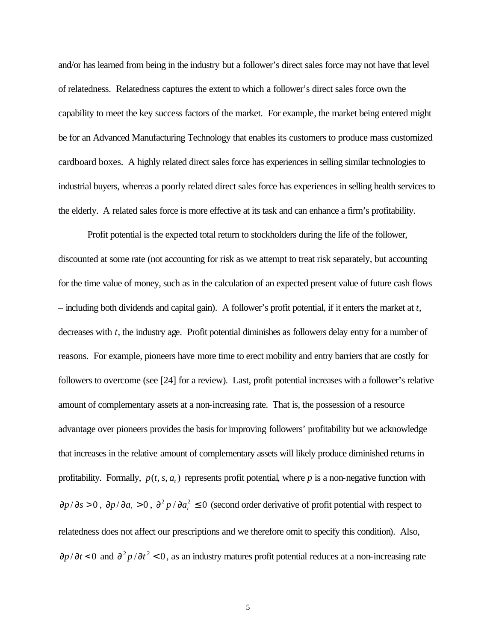and/or has learned from being in the industry but a follower's direct sales force may not have that level of relatedness. Relatedness captures the extent to which a follower's direct sales force own the capability to meet the key success factors of the market. For example, the market being entered might be for an Advanced Manufacturing Technology that enables its customers to produce mass customized cardboard boxes. A highly related direct sales force has experiences in selling similar technologies to industrial buyers, whereas a poorly related direct sales force has experiences in selling health services to the elderly. A related sales force is more effective at its task and can enhance a firm's profitability.

Profit potential is the expected total return to stockholders during the life of the follower, discounted at some rate (not accounting for risk as we attempt to treat risk separately, but accounting for the time value of money, such as in the calculation of an expected present value of future cash flows – including both dividends and capital gain). A follower's profit potential, if it enters the market at *t*, decreases with *t*, the industry age. Profit potential diminishes as followers delay entry for a number of reasons. For example, pioneers have more time to erect mobility and entry barriers that are costly for followers to overcome (see [24] for a review). Last, profit potential increases with a follower's relative amount of complementary assets at a non-increasing rate. That is, the possession of a resource advantage over pioneers provides the basis for improving followers' profitability but we acknowledge that increases in the relative amount of complementary assets will likely produce diminished returns in profitability. Formally,  $p(t, s, a_t)$  represents profit potential, where p is a non-negative function with  $\partial p/\partial s > 0$ ,  $\partial p/\partial a_t > 0$ ,  $\partial^2 p/\partial a_t^2 \le 0$  (second order derivative of profit potential with respect to relatedness does not affect our prescriptions and we therefore omit to specify this condition). Also,  $\partial p / \partial t$  < 0 and  $\partial^2 p / \partial t^2$  < 0, as an industry matures profit potential reduces at a non-increasing rate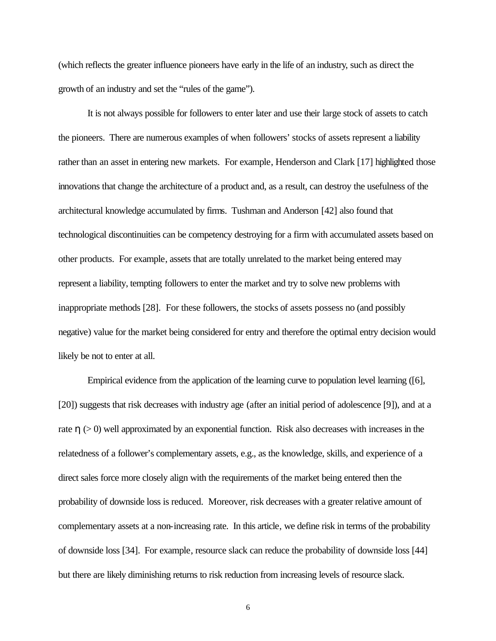(which reflects the greater influence pioneers have early in the life of an industry, such as direct the growth of an industry and set the "rules of the game").

It is not always possible for followers to enter later and use their large stock of assets to catch the pioneers. There are numerous examples of when followers' stocks of assets represent a liability rather than an asset in entering new markets. For example, Henderson and Clark [17] highlighted those innovations that change the architecture of a product and, as a result, can destroy the usefulness of the architectural knowledge accumulated by firms. Tushman and Anderson [42] also found that technological discontinuities can be competency destroying for a firm with accumulated assets based on other products. For example, assets that are totally unrelated to the market being entered may represent a liability, tempting followers to enter the market and try to solve new problems with inappropriate methods [28]. For these followers, the stocks of assets possess no (and possibly negative) value for the market being considered for entry and therefore the optimal entry decision would likely be not to enter at all.

Empirical evidence from the application of the learning curve to population level learning ([6], [20]) suggests that risk decreases with industry age (after an initial period of adolescence [9]), and at a rate  $h$  ( $>$  0) well approximated by an exponential function. Risk also decreases with increases in the relatedness of a follower's complementary assets, e.g., as the knowledge, skills, and experience of a direct sales force more closely align with the requirements of the market being entered then the probability of downside loss is reduced. Moreover, risk decreases with a greater relative amount of complementary assets at a non-increasing rate. In this article, we define risk in terms of the probability of downside loss [34]. For example, resource slack can reduce the probability of downside loss [44] but there are likely diminishing returns to risk reduction from increasing levels of resource slack.

6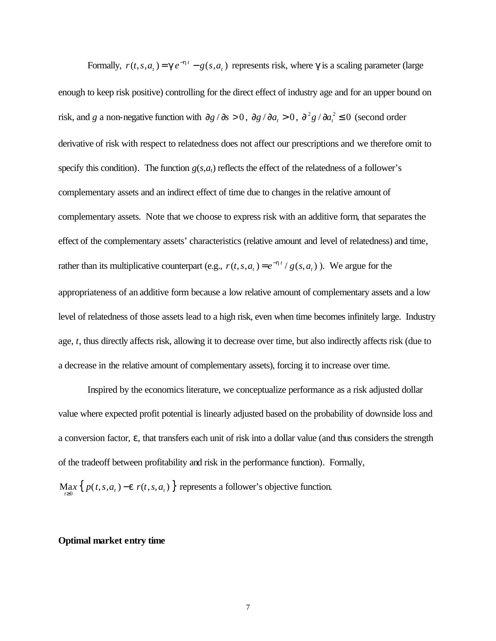Formally,  $r(t, s, a_t) = \mathbf{g} e^{-\mathbf{h} t} - g(s, a_t)$ *t*  $r(t, s, a_t) = \mathbf{g} e^{-\mathbf{h}t} - g(s, a_t)$  represents risk, where *g* is a scaling parameter (large enough to keep risk positive) controlling for the direct effect of industry age and for an upper bound on risk, and *g* a non-negative function with  $\partial g / \partial s > 0$ ,  $\partial g / \partial a_t > 0$ ,  $\partial^2 g / \partial a_t^2 \le 0$  (second order derivative of risk with respect to relatedness does not affect our prescriptions and we therefore omit to specify this condition). The function  $g(s, a_t)$  reflects the effect of the relatedness of a follower's complementary assets and an indirect effect of time due to changes in the relative amount of complementary assets. Note that we choose to express risk with an additive form, that separates the effect of the complementary assets' characteristics (relative amount and level of relatedness) and time, rather than its multiplicative counterpart (e.g.,  $r(t, s, a_t) = e^{-\hbar t} / g(s, a_t)$ *t*  $r(t, s, a_t) = e^{-ht} / g(s, a_t)$ . We argue for the appropriateness of an additive form because a low relative amount of complementary assets and a low level of relatedness of those assets lead to a high risk, even when time becomes infinitely large. Industry age, *t*, thus directly affects risk, allowing it to decrease over time, but also indirectly affects risk (due to a decrease in the relative amount of complementary assets), forcing it to increase over time.

Inspired by the economics literature, we conceptualize performance as a risk adjusted dollar value where expected profit potential is linearly adjusted based on the probability of downside loss and a conversion factor, *e*, that transfers each unit of risk into a dollar value (and thus considers the strength of the tradeoff between profitability and risk in the performance function). Formally,

 $\max_{t \geq 0} \left\{ p(t, s, a_t) - e \right| r(t, s, a_t) \right\}$  represents a follower's objective function.

## **Optimal market entry time**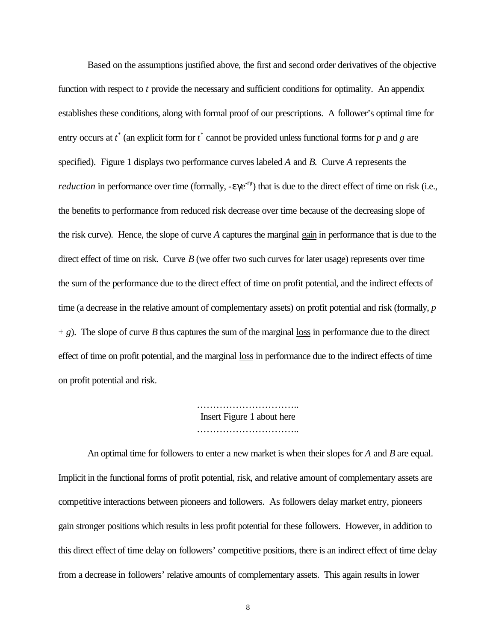Based on the assumptions justified above, the first and second order derivatives of the objective function with respect to *t* provide the necessary and sufficient conditions for optimality. An appendix establishes these conditions, along with formal proof of our prescriptions. A follower's optimal time for entry occurs at  $t^*$  (an explicit form for  $t^*$  cannot be provided unless functional forms for  $p$  and  $g$  are specified). Figure 1 displays two performance curves labeled *A* and *B*. Curve *A* represents the *reduction* in performance over time (formally,  $-ege^{-ht}$ ) that is due to the direct effect of time on risk (i.e., the benefits to performance from reduced risk decrease over time because of the decreasing slope of the risk curve). Hence, the slope of curve *A* captures the marginal gain in performance that is due to the direct effect of time on risk. Curve *B* (we offer two such curves for later usage) represents over time the sum of the performance due to the direct effect of time on profit potential, and the indirect effects of time (a decrease in the relative amount of complementary assets) on profit potential and risk (formally, *p*  $+ g$ ). The slope of curve *B* thus captures the sum of the marginal loss in performance due to the direct effect of time on profit potential, and the marginal loss in performance due to the indirect effects of time on profit potential and risk.

> ………………………….. Insert Figure 1 about here ……………………………………

An optimal time for followers to enter a new market is when their slopes for *A* and *B* are equal. Implicit in the functional forms of profit potential, risk, and relative amount of complementary assets are competitive interactions between pioneers and followers. As followers delay market entry, pioneers gain stronger positions which results in less profit potential for these followers. However, in addition to this direct effect of time delay on followers' competitive positions, there is an indirect effect of time delay from a decrease in followers' relative amounts of complementary assets. This again results in lower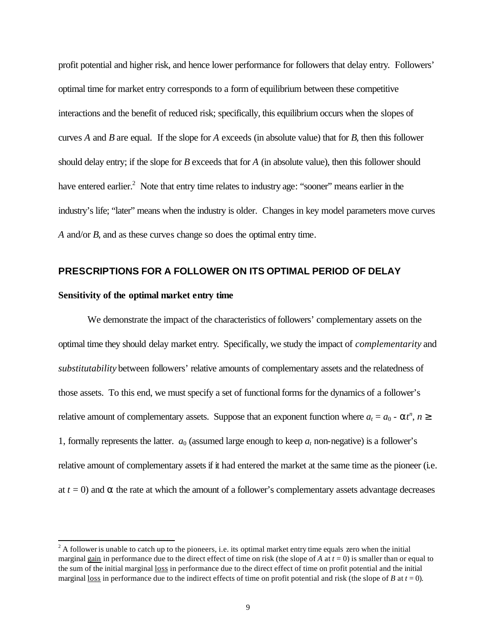profit potential and higher risk, and hence lower performance for followers that delay entry. Followers' optimal time for market entry corresponds to a form of equilibrium between these competitive interactions and the benefit of reduced risk; specifically, this equilibrium occurs when the slopes of curves *A* and *B* are equal. If the slope for *A* exceeds (in absolute value) that for *B,* then this follower should delay entry; if the slope for *B* exceeds that for *A* (in absolute value), then this follower should have entered earlier.<sup>2</sup> Note that entry time relates to industry age: "sooner" means earlier in the industry's life; "later" means when the industry is older. Changes in key model parameters move curves *A* and/or *B*, and as these curves change so does the optimal entry time.

# **PRESCRIPTIONS FOR A FOLLOWER ON ITS OPTIMAL PERIOD OF DELAY**

### **Sensitivity of the optimal market entry time**

l

We demonstrate the impact of the characteristics of followers' complementary assets on the optimal time they should delay market entry. Specifically, we study the impact of *complementarity* and *substitutability* between followers' relative amounts of complementary assets and the relatedness of those assets. To this end, we must specify a set of functionalforms for the dynamics of a follower's relative amount of complementary assets. Suppose that an exponent function where  $a_t = a_0 - a t^n$ ,  $n \geq 0$ 1, formally represents the latter.  $a_0$  (assumed large enough to keep  $a_t$  non-negative) is a follower's relative amount of complementary assets if it had entered the market at the same time as the pioneer (i.e. at  $t = 0$ ) and  $\boldsymbol{a}$  the rate at which the amount of a follower's complementary assets advantage decreases

 $2^2$  A follower is unable to catch up to the pioneers, i.e. its optimal market entry time equals zero when the initial marginal gain in performance due to the direct effect of time on risk (the slope of A at  $t = 0$ ) is smaller than or equal to the sum of the initial marginal loss in performance due to the direct effect of time on profit potential and the initial marginal <u>loss</u> in performance due to the indirect effects of time on profit potential and risk (the slope of *B* at  $t = 0$ ).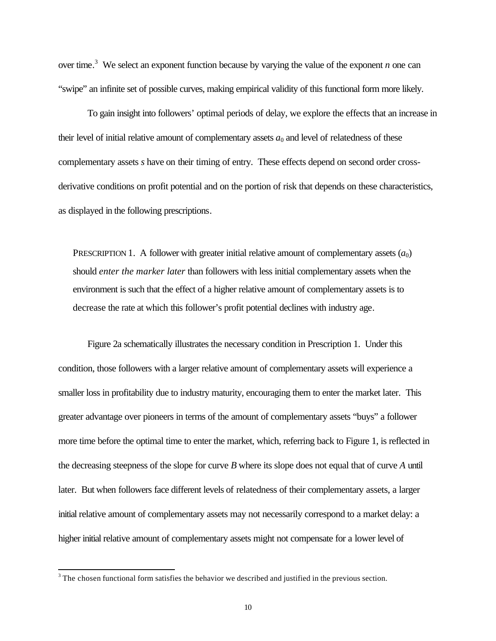over time.<sup>3</sup> We select an exponent function because by varying the value of the exponent *n* one can "swipe" an infinite set of possible curves, making empirical validity of this functional form more likely.

To gain insight into followers' optimal periods of delay, we explore the effects that an increase in their level of initial relative amount of complementary assets  $a_0$  and level of relatedness of these complementary assets *s* have on their timing of entry. These effects depend on second order crossderivative conditions on profit potential and on the portion of risk that depends on these characteristics, as displayed in the following prescriptions.

PRESCRIPTION 1. A follower with greater initial relative amount of complementary assets  $(a_0)$ should *enter the marker later* than followers with less initial complementary assets when the environment is such that the effect of a higher relative amount of complementary assets is to decrease the rate at which this follower's profit potential declines with industry age.

Figure 2a schematically illustrates the necessary condition in Prescription 1. Under this condition, those followers with a larger relative amount of complementary assets will experience a smaller loss in profitability due to industry maturity, encouraging them to enter the market later. This greater advantage over pioneers in terms of the amount of complementary assets "buys" a follower more time before the optimal time to enter the market, which, referring back to Figure 1, is reflected in the decreasing steepness of the slope for curve *B* where its slope does not equal that of curve *A* until later. But when followers face different levels of relatedness of their complementary assets, a larger initial relative amount of complementary assets may not necessarily correspond to a market delay: a higher initial relative amount of complementary assets might not compensate for a lower level of

l

 $3$  The chosen functional form satisfies the behavior we described and justified in the previous section.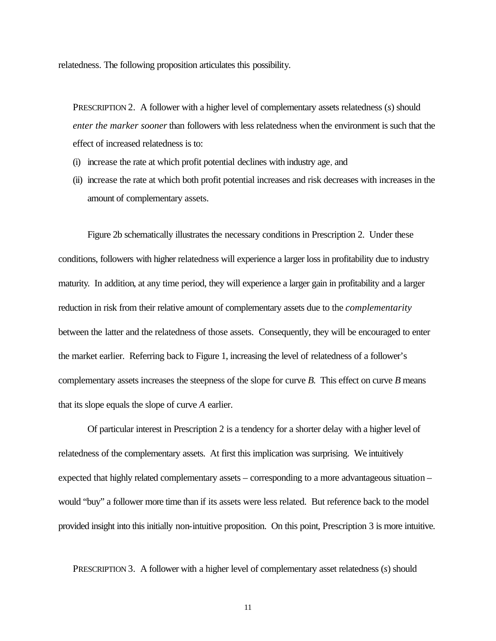relatedness. The following proposition articulates this possibility.

PRESCRIPTION 2. A follower with a higher level of complementary assets relatedness (*s*) should *enter the marker sooner* than followers with less relatedness when the environment is such that the effect of increased relatedness is to:

- (i) increase the rate at which profit potential declines with industry age, and
- (ii) increase the rate at which both profit potential increases and risk decreases with increases in the amount of complementary assets.

Figure 2b schematically illustrates the necessary conditions in Prescription 2. Under these conditions, followers with higher relatedness will experience a larger loss in profitability due to industry maturity. In addition, at any time period, they will experience a larger gain in profitability and a larger reduction in risk from their relative amount of complementary assets due to the *complementarity* between the latter and the relatedness of those assets. Consequently, they will be encouraged to enter the market earlier. Referring back to Figure 1, increasing the level of relatedness of a follower's complementary assets increases the steepness of the slope for curve *B*. This effect on curve *B* means that its slope equals the slope of curve *A* earlier.

Of particular interest in Prescription 2 is a tendency for a shorter delay with a higher level of relatedness of the complementary assets. At first this implication was surprising. We intuitively expected that highly related complementary assets – corresponding to a more advantageous situation – would "buy" a follower more time than if its assets were less related. But reference back to the model provided insight into this initially non-intuitive proposition. On this point, Prescription 3 is more intuitive.

PRESCRIPTION 3. A follower with a higher level of complementary asset relatedness (*s*) should

11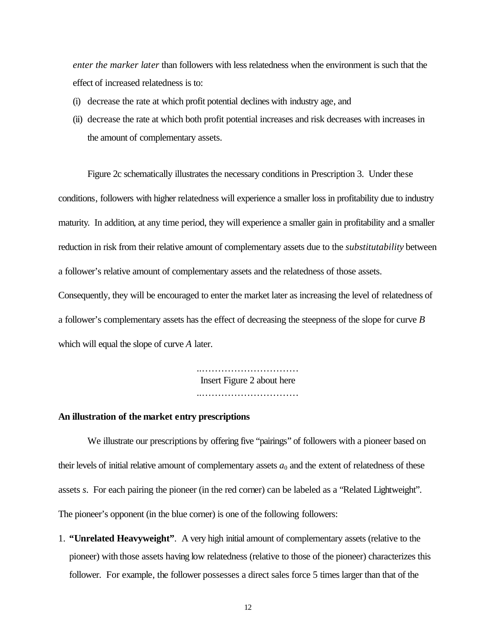*enter the marker later* than followers with less relatedness when the environment is such that the effect of increased relatedness is to:

- (i) decrease the rate at which profit potential declines with industry age, and
- (ii) decrease the rate at which both profit potential increases and risk decreases with increases in the amount of complementary assets.

Figure 2c schematically illustrates the necessary conditions in Prescription 3. Under these conditions, followers with higher relatedness will experience a smaller loss in profitability due to industry maturity. In addition, at any time period, they will experience a smaller gain in profitability and a smaller reduction in risk from their relative amount of complementary assets due to the *substitutability* between a follower's relative amount of complementary assets and the relatedness of those assets.

Consequently, they will be encouraged to enter the market later as increasing the level of relatedness of a follower's complementary assets has the effect of decreasing the steepness of the slope for curve *B* which will equal the slope of curve *A* later.

> …………………………………… Insert Figure 2 about here ……………………………………

#### **An illustration of the market entry prescriptions**

We illustrate our prescriptions by offering five "pairings" of followers with a pioneer based on their levels of initial relative amount of complementary assets  $a_0$  and the extent of relatedness of these assets *s*. For each pairing the pioneer (in the red corner) can be labeled as a "Related Lightweight". The pioneer's opponent (in the blue corner) is one of the following followers:

1. **"Unrelated Heavyweight"**. A very high initial amount of complementary assets (relative to the pioneer) with those assets having low relatedness (relative to those of the pioneer) characterizes this follower. For example, the follower possesses a direct sales force 5 times larger than that of the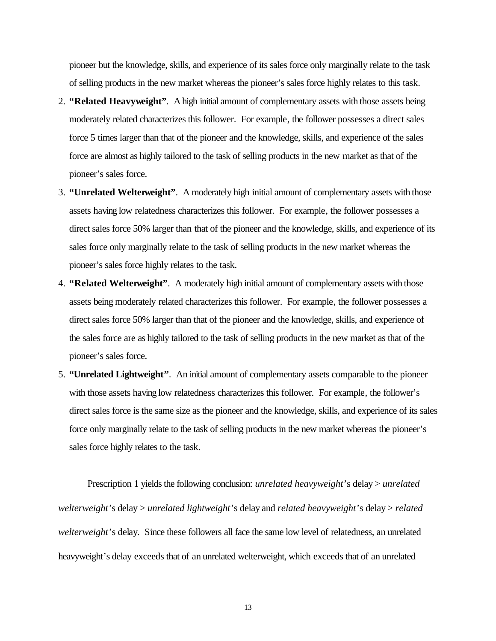pioneer but the knowledge, skills, and experience of its sales force only marginally relate to the task of selling products in the new market whereas the pioneer's sales force highly relates to this task.

- 2. **"Related Heavyweight"**. A high initial amount of complementary assets with those assets being moderately related characterizes this follower. For example, the follower possesses a direct sales force 5 times larger than that of the pioneer and the knowledge, skills, and experience of the sales force are almost as highly tailored to the task of selling products in the new market as that of the pioneer's sales force.
- 3. **"Unrelated Welterweight"**. A moderately high initial amount of complementary assets with those assets having low relatedness characterizes this follower. For example, the follower possesses a direct sales force 50% larger than that of the pioneer and the knowledge, skills, and experience of its sales force only marginally relate to the task of selling products in the new market whereas the pioneer's sales force highly relates to the task.
- 4. **"Related Welterweight"**. A moderately high initial amount of complementary assets with those assets being moderately related characterizes this follower. For example, the follower possesses a direct sales force 50% larger than that of the pioneer and the knowledge, skills, and experience of the sales force are as highly tailored to the task of selling products in the new market as that of the pioneer's sales force.
- 5. **"Unrelated Lightweight"**. An initial amount of complementary assets comparable to the pioneer with those assets having low relatedness characterizes this follower. For example, the follower's direct sales force is the same size as the pioneer and the knowledge, skills, and experience of its sales force only marginally relate to the task of selling products in the new market whereas the pioneer's sales force highly relates to the task.

Prescription 1 yields the following conclusion: *unrelated heavyweight*'s delay > *unrelated welterweight*'s delay > *unrelated lightweight*'s delay and *related heavyweight*'s delay > *related welterweight*'s delay. Since these followers all face the same low level of relatedness, an unrelated heavyweight's delay exceeds that of an unrelated welterweight, which exceeds that of an unrelated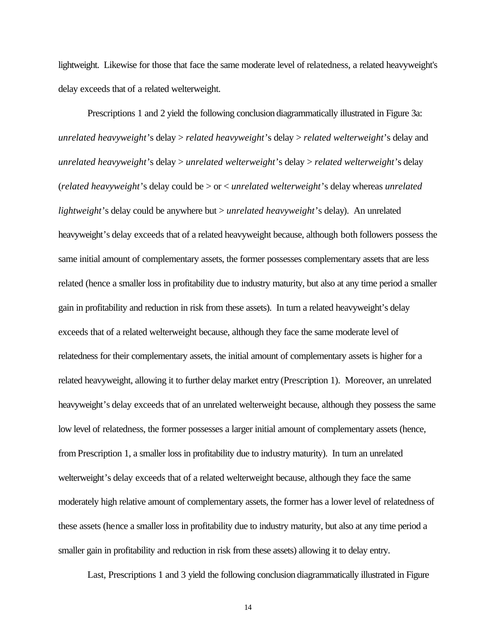lightweight. Likewise for those that face the same moderate level of relatedness, a related heavyweight's delay exceeds that of a related welterweight.

Prescriptions 1 and 2 yield the following conclusion diagrammatically illustrated in Figure 3a: *unrelated heavyweight*'s delay > *related heavyweight*'s delay > *related welterweight*'s delay and *unrelated heavyweight*'s delay > *unrelated welterweight*'s delay > *related welterweight*'s delay (*related heavyweight*'s delay could be > or < *unrelated welterweight*'s delay whereas *unrelated lightweight*'s delay could be anywhere but > *unrelated heavyweight*'s delay). An unrelated heavyweight's delay exceeds that of a related heavyweight because, although both followers possess the same initial amount of complementary assets, the former possesses complementary assets that are less related (hence a smaller loss in profitability due to industry maturity, but also at any time period a smaller gain in profitability and reduction in risk from these assets). In turn a related heavyweight's delay exceeds that of a related welterweight because, although they face the same moderate level of relatedness for their complementary assets, the initial amount of complementary assets is higher for a related heavyweight, allowing it to further delay market entry (Prescription 1). Moreover, an unrelated heavyweight's delay exceeds that of an unrelated welterweight because, although they possess the same low level of relatedness, the former possesses a larger initial amount of complementary assets (hence, from Prescription 1, a smaller loss in profitability due to industry maturity). In turn an unrelated welterweight's delay exceeds that of a related welterweight because, although they face the same moderately high relative amount of complementary assets, the former has a lower level of relatedness of these assets (hence a smaller loss in profitability due to industry maturity, but also at any time period a smaller gain in profitability and reduction in risk from these assets) allowing it to delay entry.

Last, Prescriptions 1 and 3 yield the following conclusion diagrammatically illustrated in Figure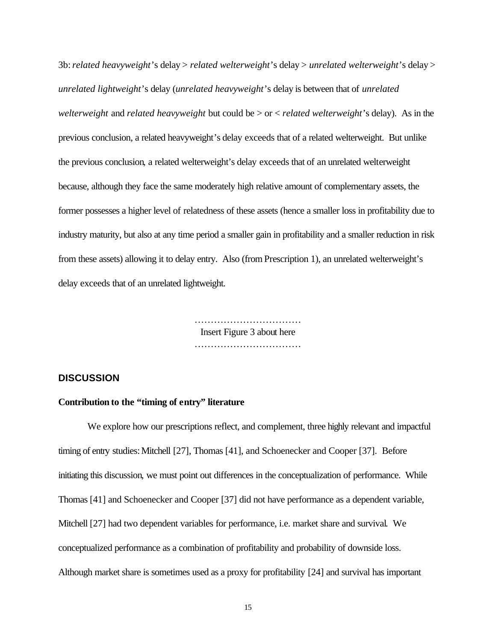3b:*related heavyweight*'s delay > *related welterweight*'s delay > *unrelated welterweight*'s delay > *unrelated lightweight*'s delay (*unrelated heavyweight*'s delay is between that of *unrelated welterweight* and *related heavyweight* but could be > or < *related welterweight*'s delay). As in the previous conclusion, a related heavyweight's delay exceeds that of a related welterweight. But unlike the previous conclusion, a related welterweight's delay exceeds that of an unrelated welterweight because, although they face the same moderately high relative amount of complementary assets, the former possesses a higher level of relatedness of these assets (hence a smaller loss in profitability due to industry maturity, but also at any time period a smaller gain in profitability and a smaller reduction in risk from these assets) allowing it to delay entry. Also (from Prescription 1), an unrelated welterweight's delay exceeds that of an unrelated lightweight.

> …………………………… Insert Figure 3 about here ………………………………………

# **DISCUSSION**

### **Contribution to the "timing of entry" literature**

We explore how our prescriptions reflect, and complement, three highly relevant and impactful timing of entry studies: Mitchell [27], Thomas [41], and Schoenecker and Cooper [37]. Before initiating this discussion, we must point out differences in the conceptualization of performance. While Thomas [41] and Schoenecker and Cooper [37] did not have performance as a dependent variable, Mitchell [27] had two dependent variables for performance, i.e. market share and survival. We conceptualized performance as a combination of profitability and probability of downside loss. Although market share is sometimes used as a proxy for profitability [24] and survival has important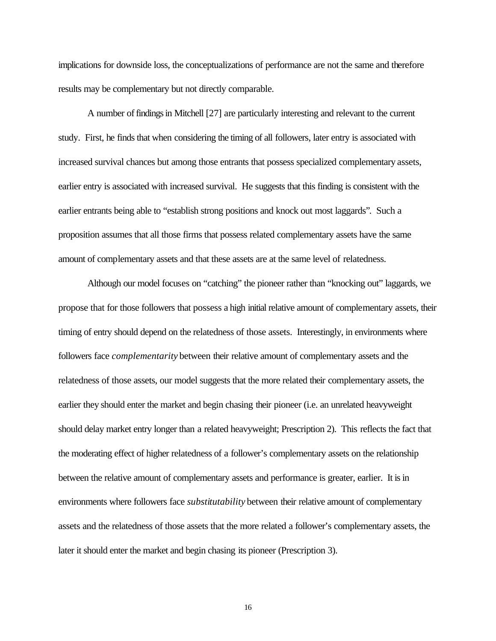implications for downside loss, the conceptualizations of performance are not the same and therefore results may be complementary but not directly comparable.

A number of findings in Mitchell [27] are particularly interesting and relevant to the current study. First, he finds that when considering the timing of all followers, later entry is associated with increased survival chances but among those entrants that possess specialized complementary assets, earlier entry is associated with increased survival. He suggests that this finding is consistent with the earlier entrants being able to "establish strong positions and knock out most laggards". Such a proposition assumes that all those firms that possess related complementary assets have the same amount of complementary assets and that these assets are at the same level of relatedness.

Although our model focuses on "catching" the pioneer rather than "knocking out" laggards, we propose that for those followers that possess a high initial relative amount of complementary assets, their timing of entry should depend on the relatedness of those assets. Interestingly, in environments where followers face *complementarity* between their relative amount of complementary assets and the relatedness of those assets, our model suggests that the more related their complementary assets, the earlier they should enter the market and begin chasing their pioneer (i.e. an unrelated heavyweight should delay market entry longer than a related heavyweight; Prescription 2). This reflects the fact that the moderating effect of higher relatedness of a follower's complementary assets on the relationship between the relative amount of complementary assets and performance is greater, earlier. It is in environments where followers face *substitutability* between their relative amount of complementary assets and the relatedness of those assets that the more related a follower's complementary assets, the later it should enter the market and begin chasing its pioneer (Prescription 3).

16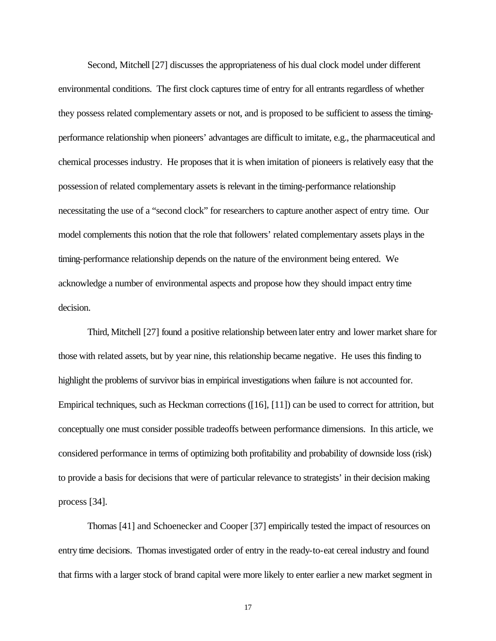Second, Mitchell [27] discusses the appropriateness of his dual clock model under different environmental conditions. The first clock captures time of entry for all entrants regardless of whether they possess related complementary assets or not, and is proposed to be sufficient to assess the timingperformance relationship when pioneers' advantages are difficult to imitate, e.g., the pharmaceutical and chemical processes industry. He proposes that it is when imitation of pioneers is relatively easy that the possession of related complementary assets is relevant in the timing-performance relationship necessitating the use of a "second clock" for researchers to capture another aspect of entry time. Our model complements this notion that the role that followers' related complementary assets plays in the timing-performance relationship depends on the nature of the environment being entered. We acknowledge a number of environmental aspects and propose how they should impact entry time decision.

Third, Mitchell [27] found a positive relationship between later entry and lower market share for those with related assets, but by year nine, this relationship became negative. He uses this finding to highlight the problems of survivor bias in empirical investigations when failure is not accounted for. Empirical techniques, such as Heckman corrections ([16], [11]) can be used to correct for attrition, but conceptually one must consider possible tradeoffs between performance dimensions. In this article, we considered performance in terms of optimizing both profitability and probability of downside loss (risk) to provide a basis for decisions that were of particular relevance to strategists' in their decision making process [34].

Thomas [41] and Schoenecker and Cooper [37] empirically tested the impact of resources on entry time decisions. Thomas investigated order of entry in the ready-to-eat cereal industry and found that firms with a larger stock of brand capital were more likely to enter earlier a new market segment in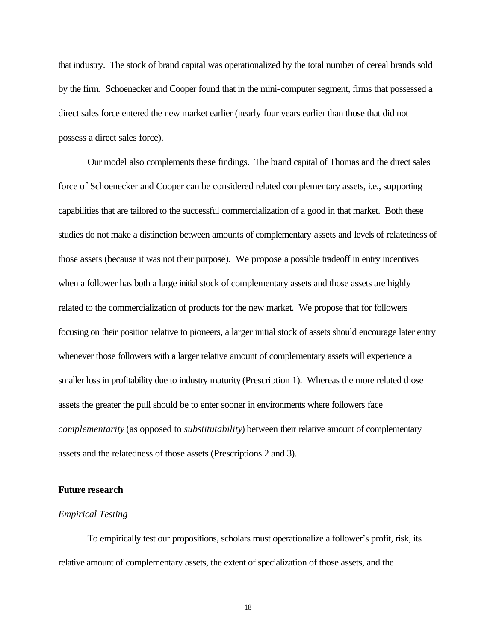that industry. The stock of brand capital was operationalized by the total number of cereal brands sold by the firm. Schoenecker and Cooper found that in the mini-computer segment, firms that possessed a direct sales force entered the new market earlier (nearly four years earlier than those that did not possess a direct sales force).

Our model also complements these findings. The brand capital of Thomas and the direct sales force of Schoenecker and Cooper can be considered related complementary assets, i.e., supporting capabilities that are tailored to the successful commercialization of a good in that market. Both these studies do not make a distinction between amounts of complementary assets and levels of relatedness of those assets (because it was not their purpose). We propose a possible tradeoff in entry incentives when a follower has both a large initial stock of complementary assets and those assets are highly related to the commercialization of products for the new market. We propose that for followers focusing on their position relative to pioneers, a larger initial stock of assets should encourage later entry whenever those followers with a larger relative amount of complementary assets will experience a smaller loss in profitability due to industry maturity (Prescription 1). Whereas the more related those assets the greater the pull should be to enter sooner in environments where followers face *complementarity* (as opposed to *substitutability*) between their relative amount of complementary assets and the relatedness of those assets (Prescriptions 2 and 3).

### **Future research**

# *Empirical Testing*

To empirically test our propositions, scholars must operationalize a follower's profit, risk, its relative amount of complementary assets, the extent of specialization of those assets, and the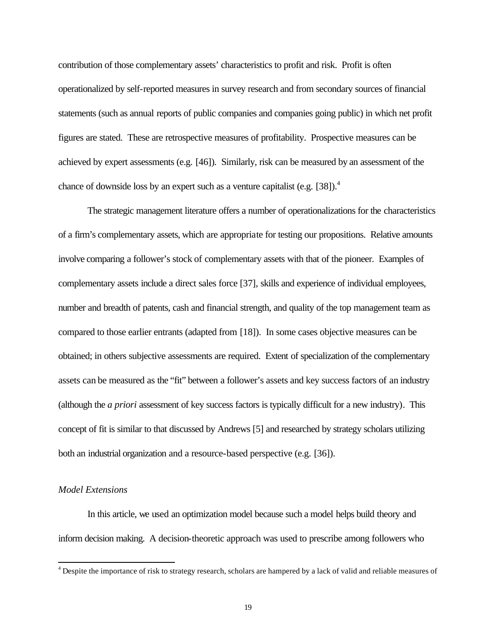contribution of those complementary assets' characteristics to profit and risk. Profit is often operationalized by self-reported measures in survey research and from secondary sources of financial statements (such as annual reports of public companies and companies going public) in which net profit figures are stated. These are retrospective measures of profitability. Prospective measures can be achieved by expert assessments (e.g. [46]). Similarly, risk can be measured by an assessment of the chance of downside loss by an expert such as a venture capitalist (e.g. [38]).<sup>4</sup>

The strategic management literature offers a number of operationalizations for the characteristics of a firm's complementary assets, which are appropriate for testing our propositions. Relative amounts involve comparing a follower's stock of complementary assets with that of the pioneer. Examples of complementary assets include a direct sales force [37], skills and experience of individual employees, number and breadth of patents, cash and financial strength, and quality of the top management team as compared to those earlier entrants (adapted from [18]). In some cases objective measures can be obtained; in others subjective assessments are required. Extent of specialization of the complementary assets can be measured as the "fit" between a follower's assets and key success factors of an industry (although the *a priori* assessment of key success factors is typically difficult for a new industry). This concept of fit is similar to that discussed by Andrews [5] and researched by strategy scholars utilizing both an industrial organization and a resource-based perspective (e.g. [36]).

## *Model Extensions*

l

In this article, we used an optimization model because such a model helps build theory and inform decision making. A decision-theoretic approach was used to prescribe among followers who

 $<sup>4</sup>$  Despite the importance of risk to strategy research, scholars are hampered by a lack of valid and reliable measures of</sup>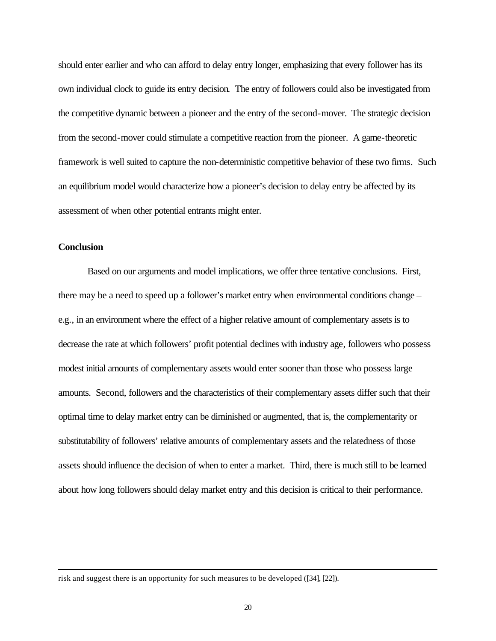should enter earlier and who can afford to delay entry longer, emphasizing that every follower has its own individual clock to guide its entry decision. The entry of followers could also be investigated from the competitive dynamic between a pioneer and the entry of the second-mover. The strategic decision from the second-mover could stimulate a competitive reaction from the pioneer. A game-theoretic framework is well suited to capture the non-deterministic competitive behavior of these two firms. Such an equilibrium model would characterize how a pioneer's decision to delay entry be affected by its assessment of when other potential entrants might enter.

# **Conclusion**

l

Based on our arguments and model implications, we offer three tentative conclusions. First, there may be a need to speed up a follower's market entry when environmental conditions change – e.g., in an environment where the effect of a higher relative amount of complementary assets is to decrease the rate at which followers' profit potential declines with industry age, followers who possess modest initial amounts of complementary assets would enter sooner than those who possess large amounts. Second, followers and the characteristics of their complementary assets differ such that their optimal time to delay market entry can be diminished or augmented, that is, the complementarity or substitutability of followers' relative amounts of complementary assets and the relatedness of those assets should influence the decision of when to enter a market. Third, there is much still to be learned about how long followers should delay market entry and this decision is critical to their performance.

risk and suggest there is an opportunity for such measures to be developed ([34], [22]).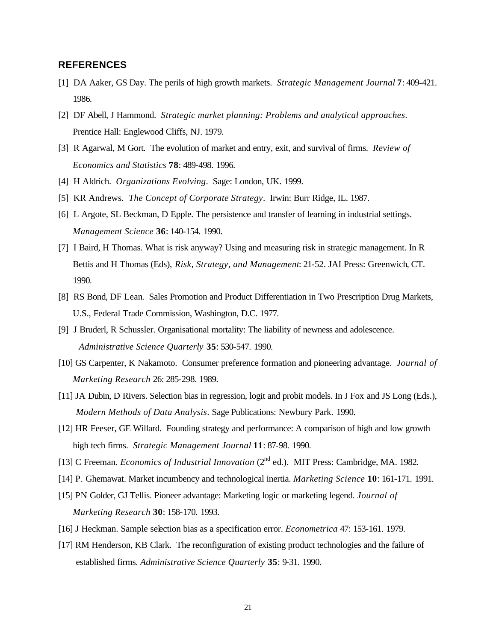# **REFERENCES**

- [1] DA Aaker, GS Day. The perils of high growth markets. *Strategic Management Journal* **7**: 409-421. 1986.
- [2] DF Abell, J Hammond. *Strategic market planning: Problems and analytical approaches*. Prentice Hall: Englewood Cliffs, NJ. 1979.
- [3] R Agarwal, M Gort. The evolution of market and entry, exit, and survival of firms. *Review of Economics and Statistics* **78**: 489-498. 1996.
- [4] H Aldrich. *Organizations Evolving*. Sage: London, UK. 1999.
- [5] KR Andrews. *The Concept of Corporate Strategy*. Irwin: Burr Ridge, IL. 1987.
- [6] L Argote, SL Beckman, D Epple. The persistence and transfer of learning in industrial settings. *Management Science* **36**: 140-154. 1990.
- [7] I Baird, H Thomas. What is risk anyway? Using and measuring risk in strategic management. In R Bettis and H Thomas (Eds), *Risk, Strategy, and Management*: 21-52. JAI Press: Greenwich, CT. 1990.
- [8] RS Bond, DF Lean. Sales Promotion and Product Differentiation in Two Prescription Drug Markets, U.S., Federal Trade Commission, Washington, D.C. 1977.
- [9] J Bruderl, R Schussler. Organisational mortality: The liability of newness and adolescence. *Administrative Science Quarterly* **35**: 530-547. 1990.
- [10] GS Carpenter, K Nakamoto. Consumer preference formation and pioneering advantage. *Journal of Marketing Research* 26: 285-298. 1989.
- [11] JA Dubin, D Rivers. Selection bias in regression, logit and probit models. In J Fox and JS Long (Eds.), *Modern Methods of Data Analysis*. Sage Publications: Newbury Park. 1990.
- [12] HR Feeser, GE Willard. Founding strategy and performance: A comparison of high and low growth high tech firms. *Strategic Management Journal* **11**: 87-98. 1990.
- [13] C Freeman. *Economics of Industrial Innovation* (2<sup>nd</sup> ed.). MIT Press: Cambridge, MA. 1982.
- [14] P. Ghemawat. Market incumbency and technological inertia. *Marketing Science* **10**: 161-171. 1991.
- [15] PN Golder, GJ Tellis. Pioneer advantage: Marketing logic or marketing legend. *Journal of Marketing Research* **30**: 158-170. 1993.
- [16] J Heckman. Sample selection bias as a specification error. *Econometrica* 47: 153-161. 1979.
- [17] RM Henderson, KB Clark. The reconfiguration of existing product technologies and the failure of established firms. *Administrative Science Quarterly* **35**: 9-31. 1990.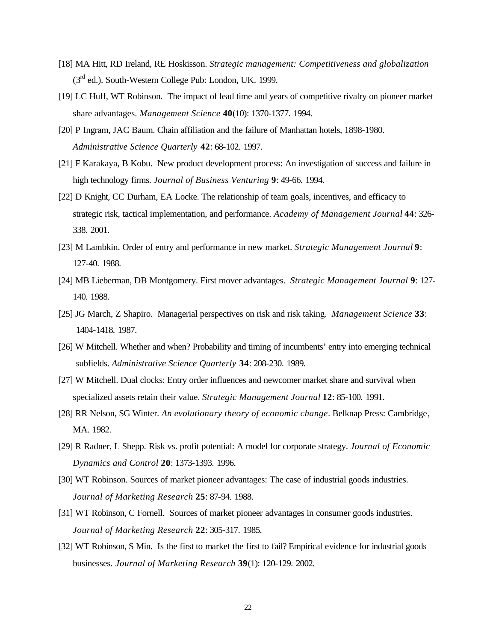- [18] MA Hitt, RD Ireland, RE Hoskisson. *Strategic management: Competitiveness and globalization*  (3rd ed.). South-Western College Pub: London, UK. 1999.
- [19] LC Huff, WT Robinson. The impact of lead time and years of competitive rivalry on pioneer market share advantages. *Management Science* **40**(10): 1370-1377. 1994.
- [20] P Ingram, JAC Baum. Chain affiliation and the failure of Manhattan hotels, 1898-1980. *Administrative Science Quarterly* **42**: 68-102. 1997.
- [21] F Karakaya, B Kobu. New product development process: An investigation of success and failure in high technology firms. *Journal of Business Venturing* **9**: 49-66. 1994.
- [22] D Knight, CC Durham, EA Locke. The relationship of team goals, incentives, and efficacy to strategic risk, tactical implementation, and performance. *Academy of Management Journal* **44**: 326- 338. 2001.
- [23] M Lambkin. Order of entry and performance in new market. *Strategic Management Journal* **9**: 127-40. 1988.
- [24] MB Lieberman, DB Montgomery. First mover advantages. *Strategic Management Journal* **9**: 127- 140. 1988.
- [25] JG March, Z Shapiro. Managerial perspectives on risk and risk taking. *Management Science* **33**: 1404-1418. 1987.
- [26] W Mitchell. Whether and when? Probability and timing of incumbents' entry into emerging technical subfields. *Administrative Science Quarterly* **34**: 208-230. 1989.
- [27] W Mitchell. Dual clocks: Entry order influences and newcomer market share and survival when specialized assets retain their value. *Strategic Management Journal* **12**: 85-100. 1991.
- [28] RR Nelson, SG Winter. *An evolutionary theory of economic change*. Belknap Press: Cambridge, MA. 1982.
- [29] R Radner, L Shepp. Risk vs. profit potential: A model for corporate strategy. *Journal of Economic Dynamics and Control* **20**: 1373-1393. 1996.
- [30] WT Robinson. Sources of market pioneer advantages: The case of industrial goods industries. *Journal of Marketing Research* **25**: 87-94. 1988.
- [31] WT Robinson, C Fornell. Sources of market pioneer advantages in consumer goods industries. *Journal of Marketing Research* **22**: 305-317. 1985.
- [32] WT Robinson, S Min. Is the first to market the first to fail? Empirical evidence for industrial goods businesses*. Journal of Marketing Research* **39**(1): 120-129. 2002.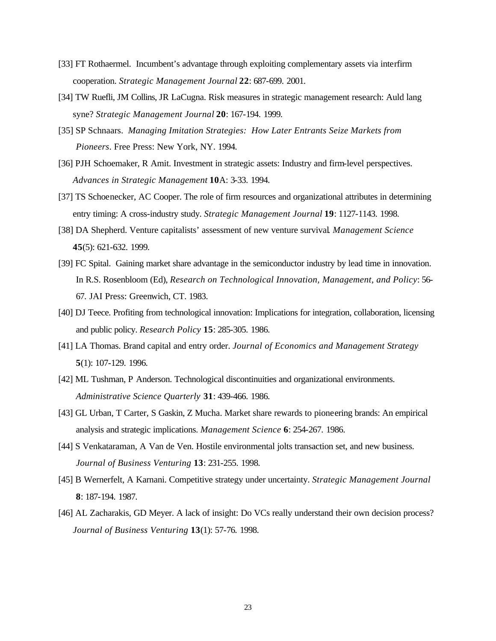- [33] FT Rothaermel. Incumbent's advantage through exploiting complementary assets via interfirm cooperation. *Strategic Management Journal* **22**: 687-699. 2001.
- [34] TW Ruefli, JM Collins, JR LaCugna. Risk measures in strategic management research: Auld lang syne? *Strategic Management Journal* **20**: 167-194. 1999.
- [35] SP Schnaars. *Managing Imitation Strategies: How Later Entrants Seize Markets from Pioneers*. Free Press: New York, NY. 1994.
- [36] PJH Schoemaker, R Amit. Investment in strategic assets: Industry and firm-level perspectives. *Advances in Strategic Management* **10**A: 3-33. 1994.
- [37] TS Schoenecker, AC Cooper. The role of firm resources and organizational attributes in determining entry timing: A cross-industry study. *Strategic Management Journal* **19**: 1127-1143. 1998.
- [38] DA Shepherd. Venture capitalists' assessment of new venture survival. *Management Science*  **45**(5): 621-632. 1999.
- [39] FC Spital. Gaining market share advantage in the semiconductor industry by lead time in innovation. In R.S. Rosenbloom (Ed), *Research on Technological Innovation, Management, and Policy*: 56- 67. JAI Press: Greenwich, CT. 1983.
- [40] DJ Teece. Profiting from technological innovation: Implications for integration, collaboration, licensing and public policy. *Research Policy* **15**: 285-305. 1986.
- [41] LA Thomas. Brand capital and entry order. *Journal of Economics and Management Strategy* **5**(1): 107-129. 1996.
- [42] ML Tushman, P Anderson. Technological discontinuities and organizational environments. *Administrative Science Quarterly* **31**: 439-466. 1986.
- [43] GL Urban, T Carter, S Gaskin, Z Mucha. Market share rewards to pioneering brands: An empirical analysis and strategic implications. *Management Science* **6**: 254-267. 1986.
- [44] S Venkataraman, A Van de Ven. Hostile environmental jolts transaction set, and new business. *Journal of Business Venturing* **13**: 231-255. 1998.
- [45] B Wernerfelt, A Karnani. Competitive strategy under uncertainty. *Strategic Management Journal* **8**: 187-194. 1987.
- [46] AL Zacharakis, GD Meyer. A lack of insight: Do VCs really understand their own decision process? *Journal of Business Venturing* **13**(1): 57-76. 1998.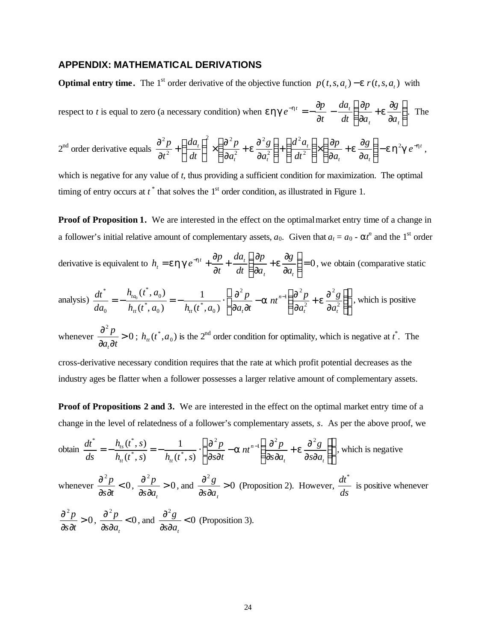# **APPENDIX: MATHEMATICAL DERIVATIONS**

**Optimal entry time.** The 1<sup>st</sup> order derivative of the objective function  $p(t, s, a_t) - e r(t, s, a_t)$  with

respect to *t* is equal to zero (a necessary condition) when **e hg**
$$
e^{-ht} = -\frac{\partial p}{\partial t} - \frac{da_t}{dt} \left( \frac{\partial p}{\partial a_t} + \mathbf{e} \frac{\partial g}{\partial a_t} \right)
$$
. The

$$
2^{\text{nd}} \text{ order derivative equals } \frac{\partial^2 p}{\partial t^2} + \left(\frac{da_t}{dt}\right)^2 \times \left(\frac{\partial^2 p}{\partial a_t^2} + \mathbf{e} \frac{\partial^2 g}{\partial a_t^2}\right) + \left(\frac{d^2 a_t}{dt^2}\right) \times \left(\frac{\partial p}{\partial a_t} + \mathbf{e} \frac{\partial g}{\partial a_t}\right) - \mathbf{e} \mathbf{h}^2 \mathbf{g} \, e^{-\mathbf{h}t} \,,
$$

which is negative for any value of *t*, thus providing a sufficient condition for maximization. The optimal timing of entry occurs at  $t^*$  that solves the  $1<sup>st</sup>$  order condition, as illustrated in Figure 1.

**Proof of Proposition 1.** We are interested in the effect on the optimal market entry time of a change in a follower's initial relative amount of complementary assets,  $a_0$ . Given that  $a_t = a_0 - a t^n$  and the 1<sup>st</sup> order

derivative is equivalent to  $h_t = e h g e^{-h t} + \frac{\partial p}{\partial t} + \frac{d u_t}{d t} \left| \frac{\partial p}{\partial q} + e \frac{\partial g}{\partial q} \right| = 0$  $\overline{\phantom{a}}$  $\lambda$  $\overline{\phantom{a}}$ l ſ ∂ ∂ + ∂ ∂ + ∂ ∂  $= e h g e^{-h t} +$  $\mathbf{u}_t$   $\mathbf{u}_t$  $\mathbf{u}_t$  **d**  $\mathbf{u}_t$ *t a g a p dt da t p*  $h_i = e h g e^{-h t} + \frac{\omega p}{2} + \frac{a a_i}{l} \left| \frac{\omega p}{2} + e \frac{\omega g}{2} \right| = 0$ , we obtain (comparative static

analysis) 
$$
\frac{dt^*}{da_0} = -\frac{h_{t a_0}(t^*, a_0)}{h_{t t}(t^*, a_0)} = -\frac{1}{h_{t t}(t^*, a_0)} \cdot \left\{ \frac{\partial^2 p}{\partial a_t \partial t} - a_n t^{n-1} \left( \frac{\partial^2 p}{\partial a_t^2} + e \frac{\partial^2 g}{\partial a_t^2} \right) \right\},
$$
 which is positive

whenever  $\frac{0}{2}P > 0$ 2 >  $\partial a_i\partial$ ∂  $a_t$ *dt p t* ;  $h_{tt}(t^*, a_0)$  $h_{tt}(t^*, a_0)$  is the 2<sup>nd</sup> order condition for optimality, which is negative at  $t^*$ . The

cross-derivative necessary condition requires that the rate at which profit potential decreases as the industry ages be flatter when a follower possesses a larger relative amount of complementary assets.

**Proof of Propositions 2 and 3.** We are interested in the effect on the optimal market entry time of a change in the level of relatedness of a follower's complementary assets, *s*. As per the above proof, we

obtain 
$$
\frac{dt^*}{ds} = -\frac{h_{ts}(t^*, s)}{h_{tt}(t^*, s)} = -\frac{1}{h_{tt}(t^*, s)} \cdot \left\{ \frac{\partial^2 p}{\partial s \partial t} - a \right|_{t=0}^{t=1} \left\{ \frac{\partial^2 p}{\partial s \partial a_t} + e \frac{\partial^2 g}{\partial s \partial a_t} \right\},
$$
 which is negative

whenever  $\frac{0}{2}$  /  $\leq 0$ 2  $\prec$ ∂ ∂ ∂ *s t*  $\frac{p}{\rho}$  < 0,  $\frac{\partial^2 p}{\partial \rho}$  > 0 2 > ∂ ∂ ∂  $s\partial a_t$  $\frac{p}{\sim} > 0$ , and  $\frac{\partial^2 g}{\partial y^2} > 0$ 2 > ∂ ∂ ∂  $s\partial a_t$  $\frac{g}{g} > 0$  (Proposition 2). However, *ds*  $\frac{dt^*}{dt}$  is positive whenever 0 2 > ∂ ∂ ∂ *s t*  $\frac{p}{\rho} > 0$ ,  $\frac{\partial^2 p}{\partial \rho^2} < 0$ 2  $\prec$ ∂s∂ ∂  $\delta a_t$  $\frac{p}{\sqrt{2}}$  < 0, and  $\frac{\partial^2 g}{\partial y^2}$  < 0 2  $\prec$ ∂s∂ ∂  $\delta a_t$  $\frac{g}{g}$  < 0 (Proposition 3).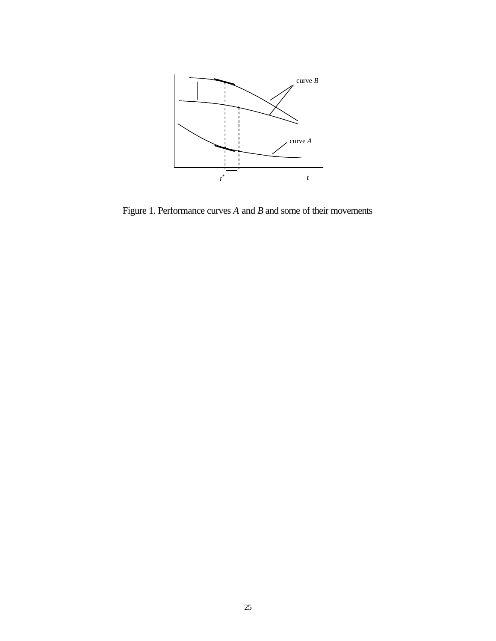

Figure 1. Performance curves *A* and *B* and some of their movements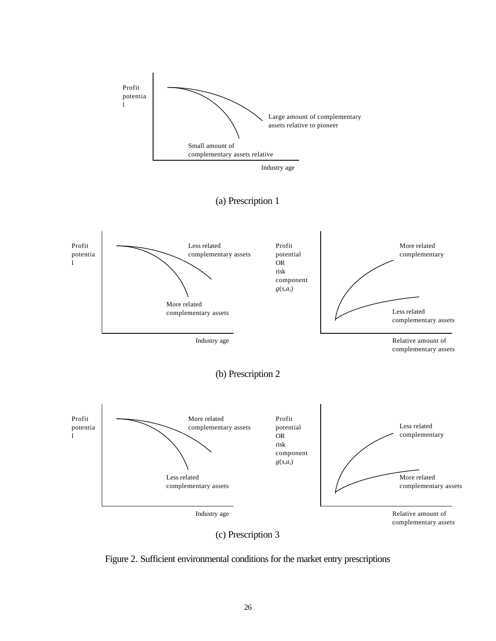



Figure 2. Sufficient environmental conditions for the market entry prescriptions